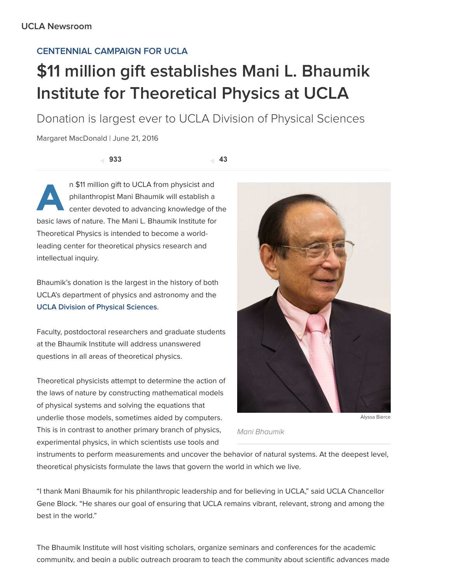## [CENTENNIAL](http://newsroom.ucla.edu/dept/ucla-centennial-campaign) CAMPAIGN FOR UCLA

## \$11 million gift establishes Mani L. Bhaumik Institute for Theoretical Physics at UCLA

Donation is largest ever to UCLA Division of Physical Sciences

Margaret MacDonald | June 21, 2016

933 43

 $A$   $\frac{p!}{c\epsilon}$ n \$11 million gift to UCLA from physicist and philanthropist Mani Bhaumik will establish a center devoted to advancing knowledge of the basic laws of nature. The Mani L. Bhaumik Institute for Theoretical Physics is intended to become a worldleading center for theoretical physics research and intellectual inquiry.

Bhaumik's donation is the largest in the history of both UCLA's department of physics and astronomy and the UCLA Division of Physical [Sciences](http://www.physicalsciences.ucla.edu/).

Faculty, postdoctoral researchers and graduate students at the Bhaumik Institute will address unanswered questions in all areas of theoretical physics.

Theoretical physicists attempt to determine the action of the laws of nature by constructing mathematical models of physical systems and solving the equations that underlie those models, sometimes aided by computers. This is in contrast to another primary branch of physics, experimental physics, in which scientists use tools and



Mani Bhaumik

instruments to perform measurements and uncover the behavior of natural systems. At the deepest level, theoretical physicists formulate the laws that govern the world in which we live.

"I thank Mani Bhaumik for his philanthropic leadership and for believing in UCLA," said UCLA Chancellor Gene Block. "He shares our goal of ensuring that UCLA remains vibrant, relevant, strong and among the best in the world."

The Bhaumik Institute will host visiting scholars, organize seminars and conferences for the academic community, and begin a public outreach program to teach the community about scientific advances made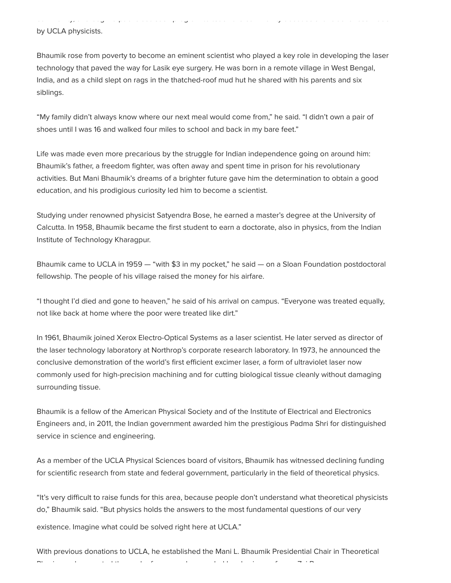community, and begin a public outreach program to teach the community about scientific advances made by UCLA physicists.

Bhaumik rose from poverty to become an eminent scientist who played a key role in developing the laser technology that paved the way for Lasik eye surgery. He was born in a remote village in West Bengal, India, and as a child slept on rags in the thatched-roof mud hut he shared with his parents and six siblings.

"My family didn't always know where our next meal would come from," he said. "I didn't own a pair of shoes until I was 16 and walked four miles to school and back in my bare feet."

Life was made even more precarious by the struggle for Indian independence going on around him: Bhaumik's father, a freedom fighter, was often away and spent time in prison for his revolutionary activities. But Mani Bhaumik's dreams of a brighter future gave him the determination to obtain a good education, and his prodigious curiosity led him to become a scientist.

Studying under renowned physicist Satyendra Bose, he earned a master's degree at the University of Calcutta. In 1958, Bhaumik became the first student to earn a doctorate, also in physics, from the Indian Institute of Technology Kharagpur.

Bhaumik came to UCLA in 1959 — "with \$3 in my pocket," he said — on a Sloan Foundation postdoctoral fellowship. The people of his village raised the money for his airfare.

"I thought I'd died and gone to heaven," he said of his arrival on campus. "Everyone was treated equally, not like back at home where the poor were treated like dirt."

In 1961, Bhaumik joined Xerox Electro-Optical Systems as a laser scientist. He later served as director of the laser technology laboratory at Northrop's corporate research laboratory. In 1973, he announced the conclusive demonstration of the world's first efficient excimer laser, a form of ultraviolet laser now commonly used for high-precision machining and for cutting biological tissue cleanly without damaging surrounding tissue.

Bhaumik is a fellow of the American Physical Society and of the Institute of Electrical and Electronics Engineers and, in 2011, the Indian government awarded him the prestigious Padma Shri for distinguished service in science and engineering.

As a member of the UCLA Physical Sciences board of visitors, Bhaumik has witnessed declining funding for scientific research from state and federal government, particularly in the field of theoretical physics.

"It's very difficult to raise funds for this area, because people don't understand what theoretical physicists do," Bhaumik said. "But physics holds the answers to the most fundamental questions of our very existence. Imagine what could be solved right here at UCLA."

With previous donations to UCLA, he established the Mani L. Bhaumik Presidential Chair in Theoretical Physics and supported the work of a research group led by physics professor Zvi Bern.